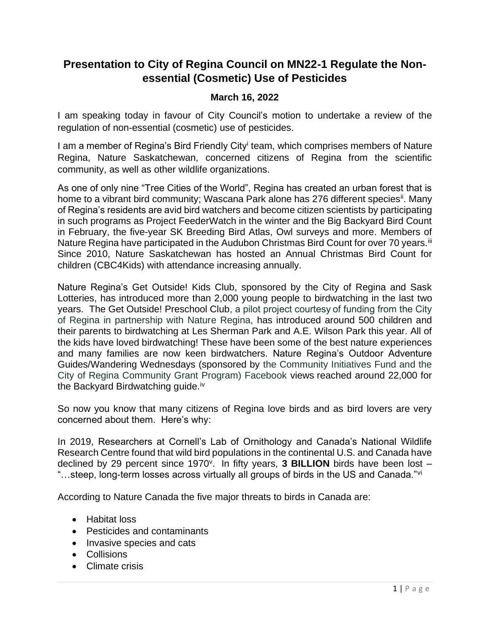## **Presentation to City of Regina Council on MN22-1 Regulate the Nonessential (Cosmetic) Use of Pesticides**

## **March 16, 2022**

I am speaking today in favour of City Council's motion to undertake a review of the regulation of non-essential (cosmetic) use of pesticides.

I am a member of Regina's Bird Friendly City<sup>i</sup> team, which comprises members of Nature Regina, Nature Saskatchewan, concerned citizens of Regina from the scientific community, as well as other wildlife organizations.

As one of only nine "Tree Cities of the World", Regina has created an urban forest that is home to a vibrant bird community; Wascana Park alone has 276 different species<sup>ii</sup>. Many of Regina's residents are avid bird watchers and become citizen scientists by participating in such programs as Project FeederWatch in the winter and the Big Backyard Bird Count in February, the five-year SK Breeding Bird Atlas, Owl surveys and more. Members of Nature Regina have participated in the Audubon Christmas Bird Count for over 70 years.<sup>iii</sup> Since 2010, Nature Saskatchewan has hosted an Annual Christmas Bird Count for children (CBC4Kids) with attendance increasing annually.

Nature Regina's Get Outside! Kids Club, sponsored by the City of Regina and Sask Lotteries, has introduced more than 2,000 young people to birdwatching in the last two years. The Get Outside! Preschool Club, a pilot project courtesy of funding from the City of Regina in partnership with Nature Regina, has introduced around 500 children and their parents to birdwatching at Les Sherman Park and A.E. Wilson Park this year. All of the kids have loved birdwatching! These have been some of the best nature experiences and many families are now keen birdwatchers. Nature Regina's Outdoor Adventure Guides/Wandering Wednesdays (sponsored by the Community Initiatives Fund and the City of Regina Community Grant Program) Facebook views reached around 22,000 for the Backyard Birdwatching guide.<sup>iv</sup>

So now you know that many citizens of Regina love birds and as bird lovers are very concerned about them. Here's why:

In 2019, Researchers at Cornell's Lab of Ornithology and Canada's National Wildlife Research Centre found that wild bird populations in the continental U.S. and Canada have declined by 29 percent since 1970<sup>v</sup>. In fifty years, 3 BILLION birds have been lost -"…steep, long-term losses across virtually all groups of birds in the US and Canada."<sup>vi</sup>

According to Nature Canada the five major threats to birds in Canada are:

- Habitat loss
- Pesticides and contaminants
- Invasive species and cats
- Collisions
- Climate crisis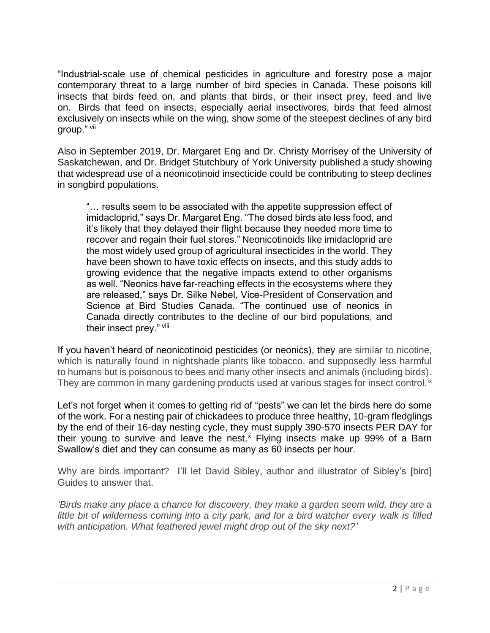"Industrial-scale use of chemical pesticides in agriculture and forestry pose a major contemporary threat to a large number of bird species in Canada. These poisons kill insects that birds feed on, and plants that birds, or their insect prey, feed and live on. Birds that feed on insects, especially aerial insectivores, birds that feed almost exclusively on insects while on the wing, show some of the steepest declines of any bird group." vii

Also in September 2019, Dr. Margaret Eng and Dr. Christy Morrisey of the University of Saskatchewan, and Dr. Bridget Stutchbury of York University published a study showing that widespread use of a neonicotinoid insecticide could be contributing to steep declines in songbird populations.

"… results seem to be associated with the appetite suppression effect of imidacloprid," says Dr. Margaret Eng. "The dosed birds ate less food, and it's likely that they delayed their flight because they needed more time to recover and regain their fuel stores." Neonicotinoids like imidacloprid are the most widely used group of agricultural insecticides in the world. They have been shown to have toxic effects on insects, and this study adds to growing evidence that the negative impacts extend to other organisms as well. "Neonics have far-reaching effects in the ecosystems where they are released," says Dr. Silke Nebel, Vice-President of Conservation and Science at Bird Studies Canada. "The continued use of neonics in Canada directly contributes to the decline of our bird populations, and their insect prey." viii

If you haven't heard of neonicotinoid pesticides (or neonics), they are similar to nicotine, which is naturally found in nightshade plants like tobacco, and supposedly less harmful to humans but is poisonous to bees and many other insects and animals (including birds). They are common in many gardening products used at various stages for insect control.<sup>ix</sup>

Let's not forget when it comes to getting rid of "pests" we can let the birds here do some of the work. For a nesting pair of chickadees to produce three healthy, 10-gram fledglings by the end of their 16-day nesting cycle, they must supply 390-570 insects PER DAY for their young to survive and leave the nest. $x$  Flying insects make up 99% of a Barn Swallow's diet and they can consume as many as 60 insects per hour.

Why are birds important? I'll let David Sibley, author and illustrator of Sibley's [bird] Guides to answer that.

*'Birds make any place a chance for discovery, they make a garden seem wild, they are a little bit of wilderness coming into a city park, and for a bird watcher every walk is filled with anticipation. What feathered jewel might drop out of the sky next?'*